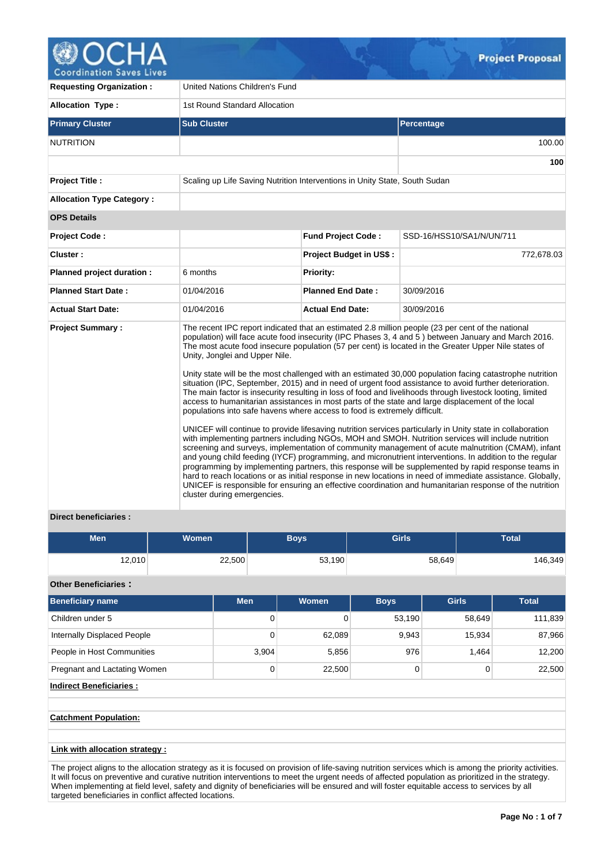

**Coordination Saves Lives** 

| <b>Requesting Organization:</b>  | United Nations Children's Fund                                |                                                                            |                                                                                                                                                                                                                                                                                                                                                                                                                                                                                                                                                                                                                                                                                                                                                                                                                                                                                                                                                                                                                                                                                                                                                                                                                                                                                                                                                                                                                                                                                                                                |  |  |  |  |  |  |
|----------------------------------|---------------------------------------------------------------|----------------------------------------------------------------------------|--------------------------------------------------------------------------------------------------------------------------------------------------------------------------------------------------------------------------------------------------------------------------------------------------------------------------------------------------------------------------------------------------------------------------------------------------------------------------------------------------------------------------------------------------------------------------------------------------------------------------------------------------------------------------------------------------------------------------------------------------------------------------------------------------------------------------------------------------------------------------------------------------------------------------------------------------------------------------------------------------------------------------------------------------------------------------------------------------------------------------------------------------------------------------------------------------------------------------------------------------------------------------------------------------------------------------------------------------------------------------------------------------------------------------------------------------------------------------------------------------------------------------------|--|--|--|--|--|--|
| <b>Allocation Type:</b>          |                                                               | 1st Round Standard Allocation                                              |                                                                                                                                                                                                                                                                                                                                                                                                                                                                                                                                                                                                                                                                                                                                                                                                                                                                                                                                                                                                                                                                                                                                                                                                                                                                                                                                                                                                                                                                                                                                |  |  |  |  |  |  |
| <b>Primary Cluster</b>           | <b>Sub Cluster</b>                                            |                                                                            | Percentage                                                                                                                                                                                                                                                                                                                                                                                                                                                                                                                                                                                                                                                                                                                                                                                                                                                                                                                                                                                                                                                                                                                                                                                                                                                                                                                                                                                                                                                                                                                     |  |  |  |  |  |  |
| <b>NUTRITION</b>                 |                                                               |                                                                            | 100.00                                                                                                                                                                                                                                                                                                                                                                                                                                                                                                                                                                                                                                                                                                                                                                                                                                                                                                                                                                                                                                                                                                                                                                                                                                                                                                                                                                                                                                                                                                                         |  |  |  |  |  |  |
|                                  |                                                               |                                                                            | 100                                                                                                                                                                                                                                                                                                                                                                                                                                                                                                                                                                                                                                                                                                                                                                                                                                                                                                                                                                                                                                                                                                                                                                                                                                                                                                                                                                                                                                                                                                                            |  |  |  |  |  |  |
| <b>Project Title:</b>            |                                                               | Scaling up Life Saving Nutrition Interventions in Unity State, South Sudan |                                                                                                                                                                                                                                                                                                                                                                                                                                                                                                                                                                                                                                                                                                                                                                                                                                                                                                                                                                                                                                                                                                                                                                                                                                                                                                                                                                                                                                                                                                                                |  |  |  |  |  |  |
| <b>Allocation Type Category:</b> |                                                               |                                                                            |                                                                                                                                                                                                                                                                                                                                                                                                                                                                                                                                                                                                                                                                                                                                                                                                                                                                                                                                                                                                                                                                                                                                                                                                                                                                                                                                                                                                                                                                                                                                |  |  |  |  |  |  |
| <b>OPS Details</b>               |                                                               |                                                                            |                                                                                                                                                                                                                                                                                                                                                                                                                                                                                                                                                                                                                                                                                                                                                                                                                                                                                                                                                                                                                                                                                                                                                                                                                                                                                                                                                                                                                                                                                                                                |  |  |  |  |  |  |
| <b>Project Code:</b>             |                                                               | <b>Fund Project Code:</b>                                                  | SSD-16/HSS10/SA1/N/UN/711                                                                                                                                                                                                                                                                                                                                                                                                                                                                                                                                                                                                                                                                                                                                                                                                                                                                                                                                                                                                                                                                                                                                                                                                                                                                                                                                                                                                                                                                                                      |  |  |  |  |  |  |
| Cluster:                         |                                                               | <b>Project Budget in US\$:</b>                                             | 772,678.03                                                                                                                                                                                                                                                                                                                                                                                                                                                                                                                                                                                                                                                                                                                                                                                                                                                                                                                                                                                                                                                                                                                                                                                                                                                                                                                                                                                                                                                                                                                     |  |  |  |  |  |  |
| Planned project duration :       | 6 months                                                      | Priority:                                                                  |                                                                                                                                                                                                                                                                                                                                                                                                                                                                                                                                                                                                                                                                                                                                                                                                                                                                                                                                                                                                                                                                                                                                                                                                                                                                                                                                                                                                                                                                                                                                |  |  |  |  |  |  |
| <b>Planned Start Date:</b>       | 01/04/2016                                                    | <b>Planned End Date:</b>                                                   | 30/09/2016                                                                                                                                                                                                                                                                                                                                                                                                                                                                                                                                                                                                                                                                                                                                                                                                                                                                                                                                                                                                                                                                                                                                                                                                                                                                                                                                                                                                                                                                                                                     |  |  |  |  |  |  |
| <b>Actual Start Date:</b>        | 01/04/2016                                                    | <b>Actual End Date:</b>                                                    | 30/09/2016                                                                                                                                                                                                                                                                                                                                                                                                                                                                                                                                                                                                                                                                                                                                                                                                                                                                                                                                                                                                                                                                                                                                                                                                                                                                                                                                                                                                                                                                                                                     |  |  |  |  |  |  |
| <b>Project Summary:</b>          | Unity, Jonglei and Upper Nile.<br>cluster during emergencies. | populations into safe havens where access to food is extremely difficult.  | The recent IPC report indicated that an estimated 2.8 million people (23 per cent of the national<br>population) will face acute food insecurity (IPC Phases 3, 4 and 5) between January and March 2016.<br>The most acute food insecure population (57 per cent) is located in the Greater Upper Nile states of<br>Unity state will be the most challenged with an estimated 30,000 population facing catastrophe nutrition<br>situation (IPC, September, 2015) and in need of urgent food assistance to avoid further deterioration.<br>The main factor is insecurity resulting in loss of food and livelihoods through livestock looting, limited<br>access to humanitarian assistances in most parts of the state and large displacement of the local<br>UNICEF will continue to provide lifesaving nutrition services particularly in Unity state in collaboration<br>with implementing partners including NGOs, MOH and SMOH. Nutrition services will include nutrition<br>screening and surveys, implementation of community management of acute malnutrition (CMAM), infant<br>and young child feeding (IYCF) programming, and micronutrient interventions. In addition to the regular<br>programming by implementing partners, this response will be supplemented by rapid response teams in<br>hard to reach locations or as initial response in new locations in need of immediate assistance. Globally,<br>UNICEF is responsible for ensuring an effective coordination and humanitarian response of the nutrition |  |  |  |  |  |  |

## **Direct beneficiaries :**

| <b>Men</b> | <b>Women</b> | <b>Boys</b> | <b>Girls</b> | <b>Total</b> |
|------------|--------------|-------------|--------------|--------------|
| 12,010     | 22,500       | 53,190      | 58,649       | 146,349      |

## **Other Beneficiaries :**

| <b>Men</b> | <b>Women</b> | <b>Boys</b> | <b>Girls</b> | <b>Total</b> |
|------------|--------------|-------------|--------------|--------------|
| 0          |              |             | 58,649       | 111,839      |
| 0          | 62,089       | 9,943       | 15,934       | 87,966       |
| 3,904      |              | 976         | 1.464        | 12,200       |
| 0          |              | 0           | 0            | 22,500       |
|            |              | 5,856       | 22,500       | 53,190       |

## **Indirect Beneficiaries :**

**Catchment Population:**

### **Link with allocation strategy :**

The project aligns to the allocation strategy as it is focused on provision of life-saving nutrition services which is among the priority activities. It will focus on preventive and curative nutrition interventions to meet the urgent needs of affected population as prioritized in the strategy. When implementing at field level, safety and dignity of beneficiaries will be ensured and will foster equitable access to services by all targeted beneficiaries in conflict affected locations.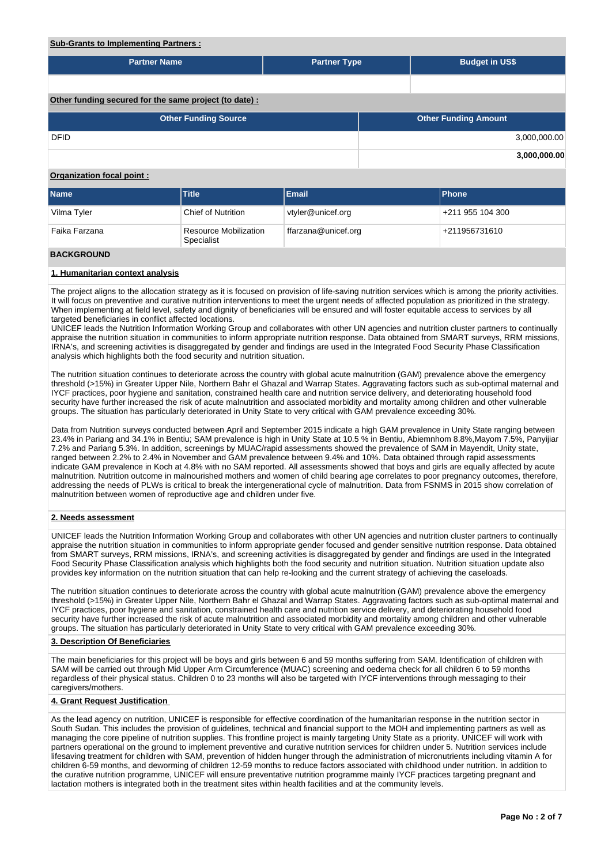### **Sub-Grants to Implementing Partners :**

| <b>Partner Name</b>                                    | <b>Partner Type</b> |  | <b>Budget in US\$</b>       |              |  |  |  |  |  |  |  |
|--------------------------------------------------------|---------------------|--|-----------------------------|--------------|--|--|--|--|--|--|--|
|                                                        |                     |  |                             |              |  |  |  |  |  |  |  |
|                                                        |                     |  |                             |              |  |  |  |  |  |  |  |
| Other funding secured for the same project (to date) : |                     |  |                             |              |  |  |  |  |  |  |  |
| <b>Other Funding Source</b>                            |                     |  | <b>Other Funding Amount</b> |              |  |  |  |  |  |  |  |
| <b>DFID</b>                                            |                     |  |                             | 3,000,000.00 |  |  |  |  |  |  |  |
|                                                        |                     |  |                             | 3,000,000.00 |  |  |  |  |  |  |  |

## **Organization focal point :**

| <b>Name</b>        | <b>Title</b>                               | <b>Email</b>        | <b>Phone</b>     |
|--------------------|--------------------------------------------|---------------------|------------------|
| Vilma Tyler        | <b>Chief of Nutrition</b>                  | vtyler@unicef.org   | +211 955 104 300 |
| Faika Farzana      | <b>Resource Mobilization</b><br>Specialist | ffarzana@unicef.org | +211956731610    |
| <b>DAAVADAULID</b> |                                            |                     |                  |

#### **BACKGROUND**

### **1. Humanitarian context analysis**

The project aligns to the allocation strategy as it is focused on provision of life-saving nutrition services which is among the priority activities. It will focus on preventive and curative nutrition interventions to meet the urgent needs of affected population as prioritized in the strategy. When implementing at field level, safety and dignity of beneficiaries will be ensured and will foster equitable access to services by all targeted beneficiaries in conflict affected locations.

UNICEF leads the Nutrition Information Working Group and collaborates with other UN agencies and nutrition cluster partners to continually appraise the nutrition situation in communities to inform appropriate nutrition response. Data obtained from SMART surveys, RRM missions, IRNA's, and screening activities is disaggregated by gender and findings are used in the Integrated Food Security Phase Classification analysis which highlights both the food security and nutrition situation.

The nutrition situation continues to deteriorate across the country with global acute malnutrition (GAM) prevalence above the emergency threshold (>15%) in Greater Upper Nile, Northern Bahr el Ghazal and Warrap States. Aggravating factors such as sub-optimal maternal and IYCF practices, poor hygiene and sanitation, constrained health care and nutrition service delivery, and deteriorating household food security have further increased the risk of acute malnutrition and associated morbidity and mortality among children and other vulnerable groups. The situation has particularly deteriorated in Unity State to very critical with GAM prevalence exceeding 30%.

Data from Nutrition surveys conducted between April and September 2015 indicate a high GAM prevalence in Unity State ranging between 23.4% in Pariang and 34.1% in Bentiu; SAM prevalence is high in Unity State at 10.5 % in Bentiu, Abiemnhom 8.8%,Mayom 7.5%, Panyijiar 7.2% and Pariang 5.3%. In addition, screenings by MUAC/rapid assessments showed the prevalence of SAM in Mayendit, Unity state, ranged between 2.2% to 2.4% in November and GAM prevalence between 9.4% and 10%. Data obtained through rapid assessments indicate GAM prevalence in Koch at 4.8% with no SAM reported. All assessments showed that boys and girls are equally affected by acute malnutrition. Nutrition outcome in malnourished mothers and women of child bearing age correlates to poor pregnancy outcomes, therefore, addressing the needs of PLWs is critical to break the intergenerational cycle of malnutrition. Data from FSNMS in 2015 show correlation of malnutrition between women of reproductive age and children under five.

### **2. Needs assessment**

UNICEF leads the Nutrition Information Working Group and collaborates with other UN agencies and nutrition cluster partners to continually appraise the nutrition situation in communities to inform appropriate gender focused and gender sensitive nutrition response. Data obtained from SMART surveys, RRM missions, IRNA's, and screening activities is disaggregated by gender and findings are used in the Integrated Food Security Phase Classification analysis which highlights both the food security and nutrition situation. Nutrition situation update also provides key information on the nutrition situation that can help re-looking and the current strategy of achieving the caseloads.

The nutrition situation continues to deteriorate across the country with global acute malnutrition (GAM) prevalence above the emergency threshold (>15%) in Greater Upper Nile, Northern Bahr el Ghazal and Warrap States. Aggravating factors such as sub-optimal maternal and IYCF practices, poor hygiene and sanitation, constrained health care and nutrition service delivery, and deteriorating household food security have further increased the risk of acute malnutrition and associated morbidity and mortality among children and other vulnerable groups. The situation has particularly deteriorated in Unity State to very critical with GAM prevalence exceeding 30%.

#### **3. Description Of Beneficiaries**

The main beneficiaries for this project will be boys and girls between 6 and 59 months suffering from SAM. Identification of children with SAM will be carried out through Mid Upper Arm Circumference (MUAC) screening and oedema check for all children 6 to 59 months regardless of their physical status. Children 0 to 23 months will also be targeted with IYCF interventions through messaging to their caregivers/mothers.

### **4. Grant Request Justification**

As the lead agency on nutrition, UNICEF is responsible for effective coordination of the humanitarian response in the nutrition sector in South Sudan. This includes the provision of guidelines, technical and financial support to the MOH and implementing partners as well as managing the core pipeline of nutrition supplies. This frontline project is mainly targeting Unity State as a priority. UNICEF will work with partners operational on the ground to implement preventive and curative nutrition services for children under 5. Nutrition services include lifesaving treatment for children with SAM, prevention of hidden hunger through the administration of micronutrients including vitamin A for children 6-59 months, and deworming of children 12-59 months to reduce factors associated with childhood under nutrition. In addition to the curative nutrition programme, UNICEF will ensure preventative nutrition programme mainly IYCF practices targeting pregnant and lactation mothers is integrated both in the treatment sites within health facilities and at the community levels.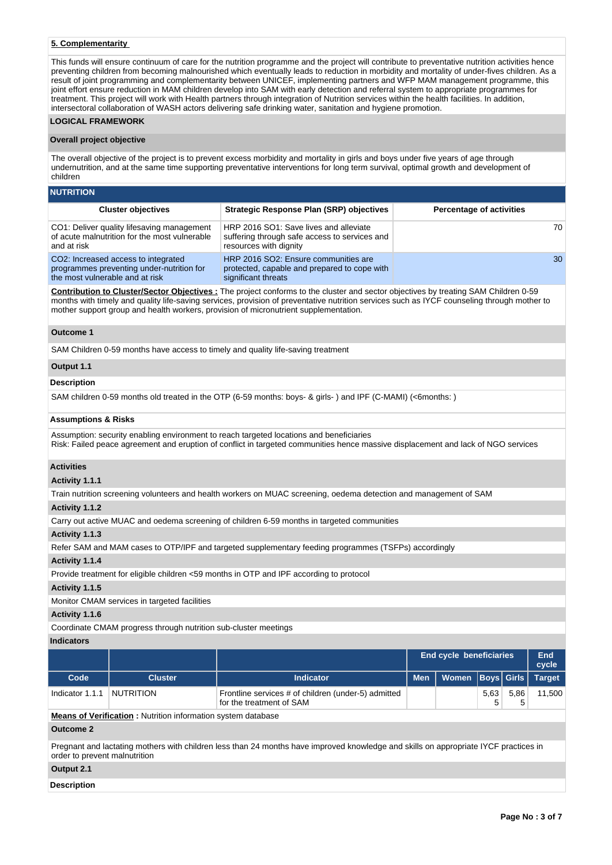## **5. Complementarity**

This funds will ensure continuum of care for the nutrition programme and the project will contribute to preventative nutrition activities hence preventing children from becoming malnourished which eventually leads to reduction in morbidity and mortality of under-fives children. As a result of joint programming and complementarity between UNICEF, implementing partners and WFP MAM management programme, this joint effort ensure reduction in MAM children develop into SAM with early detection and referral system to appropriate programmes for treatment. This project will work with Health partners through integration of Nutrition services within the health facilities. In addition, intersectoral collaboration of WASH actors delivering safe drinking water, sanitation and hygiene promotion.

### **LOGICAL FRAMEWORK**

### **Overall project objective**

The overall objective of the project is to prevent excess morbidity and mortality in girls and boys under five years of age through undernutrition, and at the same time supporting preventative interventions for long term survival, optimal growth and development of children

| <b>NUTRITION</b>                                                                                                    |                                                                                                                   |                                 |  |  |  |  |  |  |  |  |
|---------------------------------------------------------------------------------------------------------------------|-------------------------------------------------------------------------------------------------------------------|---------------------------------|--|--|--|--|--|--|--|--|
| <b>Cluster objectives</b>                                                                                           | <b>Strategic Response Plan (SRP) objectives</b>                                                                   | <b>Percentage of activities</b> |  |  |  |  |  |  |  |  |
| CO1: Deliver quality lifesaving management<br>of acute malnutrition for the most vulnerable<br>and at risk          | HRP 2016 SO1: Save lives and alleviate<br>suffering through safe access to services and<br>resources with dignity | 70                              |  |  |  |  |  |  |  |  |
| CO2: Increased access to integrated<br>programmes preventing under-nutrition for<br>the most vulnerable and at risk | HRP 2016 SO2: Ensure communities are<br>protected, capable and prepared to cope with<br>significant threats       | 30                              |  |  |  |  |  |  |  |  |

**Contribution to Cluster/Sector Objectives :** The project conforms to the cluster and sector objectives by treating SAM Children 0-59 months with timely and quality life-saving services, provision of preventative nutrition services such as IYCF counseling through mother to mother support group and health workers, provision of micronutrient supplementation.

### **Outcome 1**

SAM Children 0-59 months have access to timely and quality life-saving treatment

#### **Output 1.1**

### **Description**

SAM children 0-59 months old treated in the OTP (6-59 months: boys- & girls- ) and IPF (C-MAMI) (<6months: )

#### **Assumptions & Risks**

Assumption: security enabling environment to reach targeted locations and beneficiaries Risk: Failed peace agreement and eruption of conflict in targeted communities hence massive displacement and lack of NGO services

#### **Activities**

#### **Activity 1.1.1**

Train nutrition screening volunteers and health workers on MUAC screening, oedema detection and management of SAM

### **Activity 1.1.2**

Carry out active MUAC and oedema screening of children 6-59 months in targeted communities

### **Activity 1.1.3**

Refer SAM and MAM cases to OTP/IPF and targeted supplementary feeding programmes (TSFPs) accordingly

### **Activity 1.1.4**

Provide treatment for eligible children <59 months in OTP and IPF according to protocol

### **Activity 1.1.5**

Monitor CMAM services in targeted facilities

### **Activity 1.1.6**

Coordinate CMAM progress through nutrition sub-cluster meetings

## **Indicators**

|                 |                  |                                                                                 |     | <b>End cycle beneficiaries</b> |      |      |        |  |
|-----------------|------------------|---------------------------------------------------------------------------------|-----|--------------------------------|------|------|--------|--|
| Code            | <b>Cluster</b>   | <b>Indicator</b>                                                                | Men | Women   Boys   Girls   Target  |      |      |        |  |
| Indicator 1.1.1 | <b>NUTRITION</b> | Frontline services # of children (under-5) admitted<br>for the treatment of SAM |     |                                | 5.63 | 5.86 | 11.500 |  |

**Means of Verification :** Nutrition information system database

## **Outcome 2**

Pregnant and lactating mothers with children less than 24 months have improved knowledge and skills on appropriate IYCF practices in order to prevent malnutrition

## **Output 2.1**

**Description**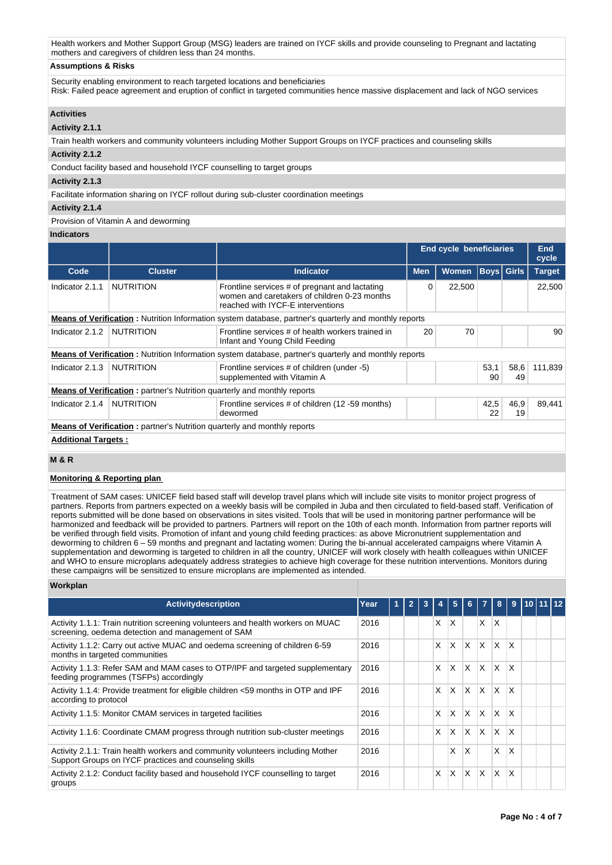Health workers and Mother Support Group (MSG) leaders are trained on IYCF skills and provide counseling to Pregnant and lactating mothers and caregivers of children less than 24 months.

## **Assumptions & Risks**

Security enabling environment to reach targeted locations and beneficiaries

Risk: Failed peace agreement and eruption of conflict in targeted communities hence massive displacement and lack of NGO services

### **Activities**

## **Activity 2.1.1**

Train health workers and community volunteers including Mother Support Groups on IYCF practices and counseling skills

## **Activity 2.1.2**

Conduct facility based and household IYCF counselling to target groups

### **Activity 2.1.3**

Facilitate information sharing on IYCF rollout during sub-cluster coordination meetings

### **Activity 2.1.4**

Provision of Vitamin A and deworming

### **Indicators**

|                            |                                                                                  |                                                                                                                                     | <b>End cycle beneficiaries</b> |              | <b>End</b><br>cycle |            |               |
|----------------------------|----------------------------------------------------------------------------------|-------------------------------------------------------------------------------------------------------------------------------------|--------------------------------|--------------|---------------------|------------|---------------|
| Code                       | <b>Cluster</b>                                                                   | Indicator                                                                                                                           | <b>Men</b>                     | <b>Women</b> | <b>Boys</b> Girls   |            | <b>Target</b> |
| Indicator 2.1.1            | <b>NUTRITION</b>                                                                 | Frontline services # of pregnant and lactating<br>women and caretakers of children 0-23 months<br>reached with IYCF-E interventions | 0                              | 22,500       |                     |            | 22,500        |
|                            |                                                                                  | <b>Means of Verification</b> : Nutrition Information system database, partner's quarterly and monthly reports                       |                                |              |                     |            |               |
| Indicator 2.1.2            | <b>NUTRITION</b>                                                                 | Frontline services # of health workers trained in<br>Infant and Young Child Feeding                                                 | 20                             | 70           |                     |            | 90            |
|                            |                                                                                  | <b>Means of Verification</b> : Nutrition Information system database, partner's quarterly and monthly reports                       |                                |              |                     |            |               |
| Indicator 2.1.3            | <b>NUTRITION</b>                                                                 | Frontline services # of children (under -5)<br>supplemented with Vitamin A                                                          |                                |              | 53.1<br>90          | 58,6<br>49 | 111.839       |
|                            | <b>Means of Verification:</b> partner's Nutrition quarterly and monthly reports  |                                                                                                                                     |                                |              |                     |            |               |
| Indicator 2.1.4            | <b>NUTRITION</b>                                                                 | Frontline services # of children (12 -59 months)<br>dewormed                                                                        |                                |              | 42,5<br>22          | 46,9<br>19 | 89.441        |
|                            | <b>Means of Verification</b> : partner's Nutrition quarterly and monthly reports |                                                                                                                                     |                                |              |                     |            |               |
| <b>Additional Targets:</b> |                                                                                  |                                                                                                                                     |                                |              |                     |            |               |

## **M & R**

### **Monitoring & Reporting plan**

Treatment of SAM cases: UNICEF field based staff will develop travel plans which will include site visits to monitor project progress of partners. Reports from partners expected on a weekly basis will be compiled in Juba and then circulated to field-based staff. Verification of reports submitted will be done based on observations in sites visited. Tools that will be used in monitoring partner performance will be harmonized and feedback will be provided to partners. Partners will report on the 10th of each month. Information from partner reports will be verified through field visits. Promotion of infant and young child feeding practices: as above Micronutrient supplementation and deworming to children 6 – 59 months and pregnant and lactating women: During the bi-annual accelerated campaigns where Vitamin A supplementation and deworming is targeted to children in all the country, UNICEF will work closely with health colleagues within UNICEF and WHO to ensure microplans adequately address strategies to achieve high coverage for these nutrition interventions. Monitors during these campaigns will be sensitized to ensure microplans are implemented as intended.

## **Workplan**

| <b>Activity description</b>                                                                                                              | Year | $\overline{2}$ | 3 |    | $\sqrt{5}$ | 6 <sup>1</sup> | $\blacktriangledown$    | 8            | 9            | 10 11 12 |  |
|------------------------------------------------------------------------------------------------------------------------------------------|------|----------------|---|----|------------|----------------|-------------------------|--------------|--------------|----------|--|
| Activity 1.1.1: Train nutrition screening volunteers and health workers on MUAC<br>screening, oedema detection and management of SAM     | 2016 |                |   | X. | X          |                | $\mathsf{x}$            | ΙX           |              |          |  |
| Activity 1.1.2: Carry out active MUAC and oedema screening of children 6-59<br>months in targeted communities                            | 2016 |                |   | X  | $\times$   | ΙX.            | $\mathsf{X}$            | $\mathsf{X}$ | $\mathsf{x}$ |          |  |
| Activity 1.1.3: Refer SAM and MAM cases to OTP/IPF and targeted supplementary<br>feeding programmes (TSFPs) accordingly                  | 2016 |                |   | X  | $\times$   | $\times$       | $\mathsf{X}$            | $\mathsf{X}$ | $\mathsf{x}$ |          |  |
| Activity 1.1.4: Provide treatment for eligible children <59 months in OTP and IPF<br>according to protocol                               | 2016 |                |   | X  | $\times$   | X              | ΙX.                     | ΙX.          | X            |          |  |
| Activity 1.1.5: Monitor CMAM services in targeted facilities                                                                             | 2016 |                |   | X  | X          | $\times$       | ΙX.                     | ΙX.          | X            |          |  |
| Activity 1.1.6: Coordinate CMAM progress through nutrition sub-cluster meetings                                                          | 2016 |                |   | x  | X          | X              | $\mathsf{I} \mathsf{X}$ | ΙX.          | X            |          |  |
| Activity 2.1.1: Train health workers and community volunteers including Mother<br>Support Groups on IYCF practices and counseling skills | 2016 |                |   |    | x          | X              |                         | X            | X            |          |  |
| Activity 2.1.2: Conduct facility based and household IYCF counselling to target<br>groups                                                | 2016 |                |   | X  | X          | X              | <b>X</b>                | lx.          | X            |          |  |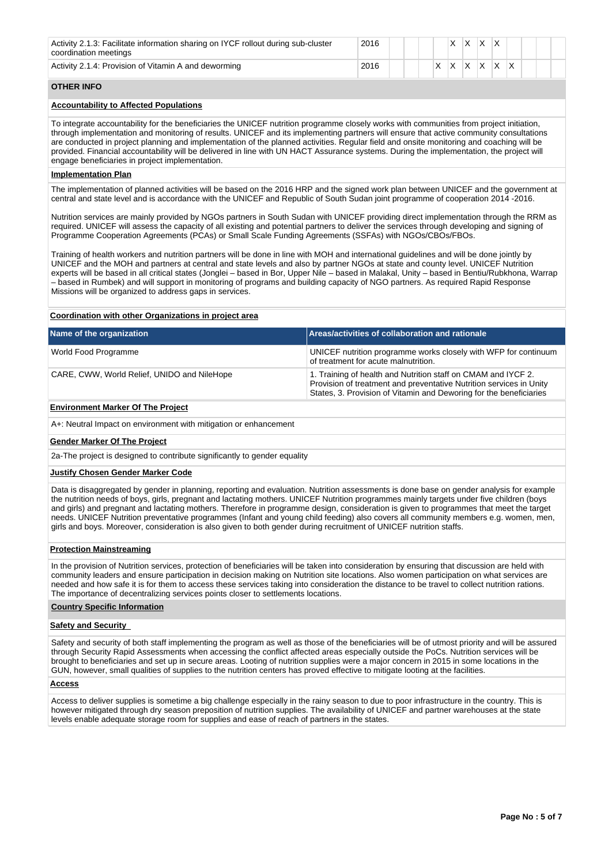| Activity 2.1.3: Facilitate information sharing on IYCF rollout during sub-cluster<br>coordination meetings | 2016 |  |  |              |         |  |  |  |
|------------------------------------------------------------------------------------------------------------|------|--|--|--------------|---------|--|--|--|
| Activity 2.1.4: Provision of Vitamin A and deworming                                                       | 2016 |  |  | $\checkmark$ | $\cdot$ |  |  |  |

## **OTHER INFO**

## **Accountability to Affected Populations**

To integrate accountability for the beneficiaries the UNICEF nutrition programme closely works with communities from project initiation, through implementation and monitoring of results. UNICEF and its implementing partners will ensure that active community consultations are conducted in project planning and implementation of the planned activities. Regular field and onsite monitoring and coaching will be provided. Financial accountability will be delivered in line with UN HACT Assurance systems. During the implementation, the project will engage beneficiaries in project implementation.

### **Implementation Plan**

The implementation of planned activities will be based on the 2016 HRP and the signed work plan between UNICEF and the government at central and state level and is accordance with the UNICEF and Republic of South Sudan joint programme of cooperation 2014 -2016.

Nutrition services are mainly provided by NGOs partners in South Sudan with UNICEF providing direct implementation through the RRM as required. UNICEF will assess the capacity of all existing and potential partners to deliver the services through developing and signing of Programme Cooperation Agreements (PCAs) or Small Scale Funding Agreements (SSFAs) with NGOs/CBOs/FBOs.

Training of health workers and nutrition partners will be done in line with MOH and international guidelines and will be done jointly by UNICEF and the MOH and partners at central and state levels and also by partner NGOs at state and county level. UNICEF Nutrition experts will be based in all critical states (Jonglei – based in Bor, Upper Nile – based in Malakal, Unity – based in Bentiu/Rubkhona, Warrap – based in Rumbek) and will support in monitoring of programs and building capacity of NGO partners. As required Rapid Response Missions will be organized to address gaps in services.

### **Coordination with other Organizations in project area**

| Name of the organization                    | Areas/activities of collaboration and rationale                                                                                                                                                            |
|---------------------------------------------|------------------------------------------------------------------------------------------------------------------------------------------------------------------------------------------------------------|
| World Food Programme                        | UNICEF nutrition programme works closely with WFP for continuum<br>of treatment for acute malnutrition.                                                                                                    |
| CARE, CWW, World Relief, UNIDO and NileHope | 1. Training of health and Nutrition staff on CMAM and IYCF 2.<br>Provision of treatment and preventative Nutrition services in Unity<br>States, 3. Provision of Vitamin and Deworing for the beneficiaries |

#### **Environment Marker Of The Project**

A+: Neutral Impact on environment with mitigation or enhancement

### **Gender Marker Of The Project**

2a-The project is designed to contribute significantly to gender equality

### **Justify Chosen Gender Marker Code**

Data is disaggregated by gender in planning, reporting and evaluation. Nutrition assessments is done base on gender analysis for example the nutrition needs of boys, girls, pregnant and lactating mothers. UNICEF Nutrition programmes mainly targets under five children (boys and girls) and pregnant and lactating mothers. Therefore in programme design, consideration is given to programmes that meet the target needs. UNICEF Nutrition preventative programmes (Infant and young child feeding) also covers all community members e.g. women, men, girls and boys. Moreover, consideration is also given to both gender during recruitment of UNICEF nutrition staffs.

### **Protection Mainstreaming**

In the provision of Nutrition services, protection of beneficiaries will be taken into consideration by ensuring that discussion are held with community leaders and ensure participation in decision making on Nutrition site locations. Also women participation on what services are needed and how safe it is for them to access these services taking into consideration the distance to be travel to collect nutrition rations. The importance of decentralizing services points closer to settlements locations.

### **Country Specific Information**

### **Safety and Security**

Safety and security of both staff implementing the program as well as those of the beneficiaries will be of utmost priority and will be assured through Security Rapid Assessments when accessing the conflict affected areas especially outside the PoCs. Nutrition services will be brought to beneficiaries and set up in secure areas. Looting of nutrition supplies were a major concern in 2015 in some locations in the GUN, however, small qualities of supplies to the nutrition centers has proved effective to mitigate looting at the facilities.

### **Access**

Access to deliver supplies is sometime a big challenge especially in the rainy season to due to poor infrastructure in the country. This is however mitigated through dry season preposition of nutrition supplies. The availability of UNICEF and partner warehouses at the state levels enable adequate storage room for supplies and ease of reach of partners in the states.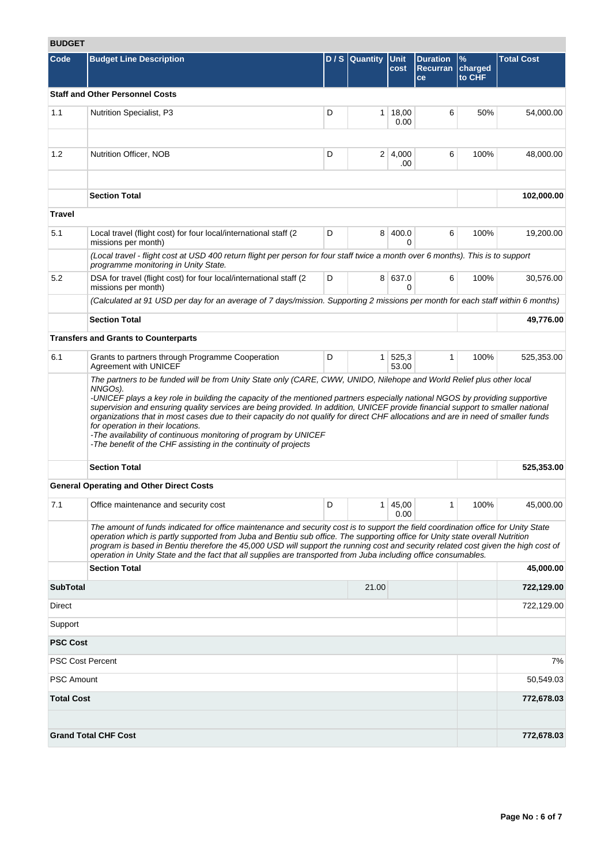# **BUDGET**

| ופטעס                   |                                                                                                                                                                                                                                                                                                                                                                                                                                                                                                                             |   |                  |                        |                                          |                           |                   |
|-------------------------|-----------------------------------------------------------------------------------------------------------------------------------------------------------------------------------------------------------------------------------------------------------------------------------------------------------------------------------------------------------------------------------------------------------------------------------------------------------------------------------------------------------------------------|---|------------------|------------------------|------------------------------------------|---------------------------|-------------------|
| Code                    | <b>Budget Line Description</b>                                                                                                                                                                                                                                                                                                                                                                                                                                                                                              |   | $D / S$ Quantity | <b>Unit</b><br>cost    | <b>Duration</b><br><b>Recurran</b><br>ce | $\%$<br>charged<br>to CHF | <b>Total Cost</b> |
|                         | <b>Staff and Other Personnel Costs</b>                                                                                                                                                                                                                                                                                                                                                                                                                                                                                      |   |                  |                        |                                          |                           |                   |
| 1.1                     | Nutrition Specialist, P3                                                                                                                                                                                                                                                                                                                                                                                                                                                                                                    | D |                  | $1 \mid 18,00$<br>0.00 | 6                                        | 50%                       | 54,000.00         |
| 1.2                     | Nutrition Officer, NOB                                                                                                                                                                                                                                                                                                                                                                                                                                                                                                      | D |                  | 2 4,000                | 6                                        | 100%                      | 48,000.00         |
|                         |                                                                                                                                                                                                                                                                                                                                                                                                                                                                                                                             |   |                  | .00                    |                                          |                           |                   |
|                         | <b>Section Total</b>                                                                                                                                                                                                                                                                                                                                                                                                                                                                                                        |   |                  |                        |                                          |                           | 102,000.00        |
| <b>Travel</b>           |                                                                                                                                                                                                                                                                                                                                                                                                                                                                                                                             |   |                  |                        |                                          |                           |                   |
| 5.1                     | Local travel (flight cost) for four local/international staff (2<br>missions per month)                                                                                                                                                                                                                                                                                                                                                                                                                                     | D |                  | 8 400.0                | 6                                        | 100%                      | 19,200.00         |
|                         | (Local travel - flight cost at USD 400 return flight per person for four staff twice a month over 6 months). This is to support<br>programme monitoring in Unity State.                                                                                                                                                                                                                                                                                                                                                     |   |                  |                        |                                          |                           |                   |
| 5.2                     | DSA for travel (flight cost) for four local/international staff (2)<br>missions per month)                                                                                                                                                                                                                                                                                                                                                                                                                                  | D |                  | 8 637.0<br>0           | 6                                        | 100%                      | 30,576.00         |
|                         | (Calculated at 91 USD per day for an average of 7 days/mission. Supporting 2 missions per month for each staff within 6 months)                                                                                                                                                                                                                                                                                                                                                                                             |   |                  |                        |                                          |                           |                   |
|                         | <b>Section Total</b>                                                                                                                                                                                                                                                                                                                                                                                                                                                                                                        |   |                  |                        |                                          |                           | 49,776.00         |
|                         | <b>Transfers and Grants to Counterparts</b>                                                                                                                                                                                                                                                                                                                                                                                                                                                                                 |   |                  |                        |                                          |                           |                   |
| 6.1                     | Grants to partners through Programme Cooperation<br>Agreement with UNICEF                                                                                                                                                                                                                                                                                                                                                                                                                                                   | D |                  | 1 525,3<br>53.00       | $\mathbf{1}$                             | 100%                      | 525,353.00        |
|                         | supervision and ensuring quality services are being provided. In addition, UNICEF provide financial support to smaller national<br>organizations that in most cases due to their capacity do not qualify for direct CHF allocations and are in need of smaller funds<br>for operation in their locations.<br>-The availability of continuous monitoring of program by UNICEF<br>-The benefit of the CHF assisting in the continuity of projects                                                                             |   |                  |                        |                                          |                           |                   |
|                         | <b>Section Total</b>                                                                                                                                                                                                                                                                                                                                                                                                                                                                                                        |   |                  |                        |                                          |                           | 525,353.00        |
|                         | <b>General Operating and Other Direct Costs</b>                                                                                                                                                                                                                                                                                                                                                                                                                                                                             |   |                  |                        |                                          |                           |                   |
| 7.1                     | Office maintenance and security cost                                                                                                                                                                                                                                                                                                                                                                                                                                                                                        | D | 1 <sup>1</sup>   | 45,00<br>0.00          | 1                                        | 100%                      | 45,000.00         |
|                         | The amount of funds indicated for office maintenance and security cost is to support the field coordination office for Unity State<br>operation which is partly supported from Juba and Bentiu sub office. The supporting office for Unity state overall Nutrition<br>program is based in Bentiu therefore the 45,000 USD will support the running cost and security related cost given the high cost of<br>operation in Unity State and the fact that all supplies are transported from Juba including office consumables. |   |                  |                        |                                          |                           |                   |
|                         | <b>Section Total</b>                                                                                                                                                                                                                                                                                                                                                                                                                                                                                                        |   |                  |                        |                                          |                           | 45,000.00         |
| <b>SubTotal</b>         |                                                                                                                                                                                                                                                                                                                                                                                                                                                                                                                             |   | 21.00            |                        |                                          |                           | 722,129.00        |
| Direct                  |                                                                                                                                                                                                                                                                                                                                                                                                                                                                                                                             |   |                  |                        |                                          |                           | 722,129.00        |
| Support                 |                                                                                                                                                                                                                                                                                                                                                                                                                                                                                                                             |   |                  |                        |                                          |                           |                   |
| <b>PSC Cost</b>         |                                                                                                                                                                                                                                                                                                                                                                                                                                                                                                                             |   |                  |                        |                                          |                           |                   |
| <b>PSC Cost Percent</b> |                                                                                                                                                                                                                                                                                                                                                                                                                                                                                                                             |   |                  |                        |                                          |                           | 7%                |
| <b>PSC Amount</b>       |                                                                                                                                                                                                                                                                                                                                                                                                                                                                                                                             |   |                  |                        |                                          |                           | 50,549.03         |
| <b>Total Cost</b>       |                                                                                                                                                                                                                                                                                                                                                                                                                                                                                                                             |   |                  |                        |                                          |                           | 772,678.03        |
|                         | <b>Grand Total CHF Cost</b>                                                                                                                                                                                                                                                                                                                                                                                                                                                                                                 |   |                  |                        |                                          |                           | 772,678.03        |